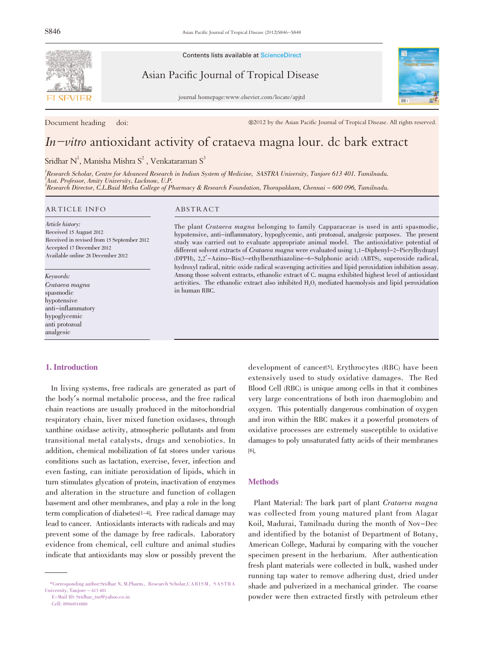

Contents lists available at ScienceDirect

Asian Pacific Journal of Tropical Disease

journal homepage:www.elsevier.com/locate/apjtd



Document heading doi:  $@2012$  by the Asian Pacific Journal of Tropical Disease. All rights reserved.

# In-vitro antioxidant activity of crataeva magna lour. dc bark extract

Sridhar  $N^1$ , Manisha Mishra  $S^2$  , Venkataraman  $S^3$ 

1 Research Scholar, Centre for Advanced Research in Indian System of Medicine, SASTRA University, Tanjore 613 401. Tamilnadu. <sup>2</sup>Asst. Professor, Amity University, Lucknow, U.P. 3 Research Director, C.L.Baid Metha College of Pharmacy & Research Foundation, Thorapakkam, Chennai - 600 096, Tamilnadu.

#### ARTICLE INFO ABSTRACT

Article history: Received 15 August 2012 Received in revised from 15 September 2012 Accepted 17 December 2012 Available online 28 December 2012

Keywords: Crataeva magna spasmodic hypotensive anti-inflammatory hypoglycemic anti protozoal analgesic

#### 1. Introduction

In living systems, free radicals are generated as part of the body's normal metabolic process, and the free radical chain reactions are usually produced in the mitochondrial respiratory chain, liver mixed function oxidases, through xanthine oxidase activity, atmospheric pollutants and from transitional metal catalysts, drugs and xenobiotics. In addition, chemical mobilization of fat stores under various conditions such as lactation, exercise, fever, infection and even fasting, can initiate peroxidation of lipids, which in turn stimulates glycation of protein, inactivation of enzymes and alteration in the structure and function of collagen basement and other membranes, and play a role in the long term complication of diabetes<sup>[1-4]</sup>. Free radical damage may lead to cancer. Antioxidants interacts with radicals and may prevent some of the damage by free radicals. Laboratory evidence from chemical, cell culture and animal studies indicate that antioxidants may slow or possibly prevent the

The plant Crataeva magna belonging to family Capparaceae is used in anti spasmodic, hypotensive, anti-inflammatory, hypoglycemic, anti protozoal, analgesic purposes. The present study was carried out to evaluate appropriate animal model. The antioxidative potential of different solvent extracts of Crataeva magna were evaluated using 1,1-Diphenyl-2-Picrylhydrazyl (DPPH), 2,2'-Azino-Bis(3-ethylbenzthiazoline-6-Sulphonic acid) (ABTS), superoxide radical, hydroxyl radical, nitric oxide radical scavenging activities and lipid peroxidation inhibition assay. Among those solvent extracts, ethanolic extract of C. magna exhibited highest level of antioxidant activities. The ethanolic extract also inhibited  $H_2O_2$  mediated haemolysis and lipid peroxidation in human RBC.

> development of cancer<sup>[5]</sup>. Erythrocytes (RBC) have been extensively used to study oxidative damages. The Red Blood Cell (RBC) is unique among cells in that it combines very large concentrations of both iron (haemoglobin) and oxygen. This potentially dangerous combination of oxygen and iron within the RBC makes it a powerful promoters of oxidative processes are extremely susceptible to oxidative damages to poly unsaturated fatty acids of their membranes [6].

# **Methods**

Plant Material: The bark part of plant Crataeva magna was collected from young matured plant from Alagar Koil, Madurai, Tamilnadu during the month of Nov-Dec and identified by the botanist of Department of Botany, American College, Madurai by comparing with the voucher specimen present in the herbarium. After authentication fresh plant materials were collected in bulk, washed under running tap water to remove adhering dust, dried under shade and pulverized in a mechanical grinder. The coarse powder were then extracted firstly with petroleum ether

<sup>\*</sup>Corresponding author:Sridhar N, M.Pharm., Research Scholar,CARI SM, SAS TRA University, Tanjore - 613 401 E-Mail ID: Sridhar\_tnr@yahoo.co.in

Cell: 09944914880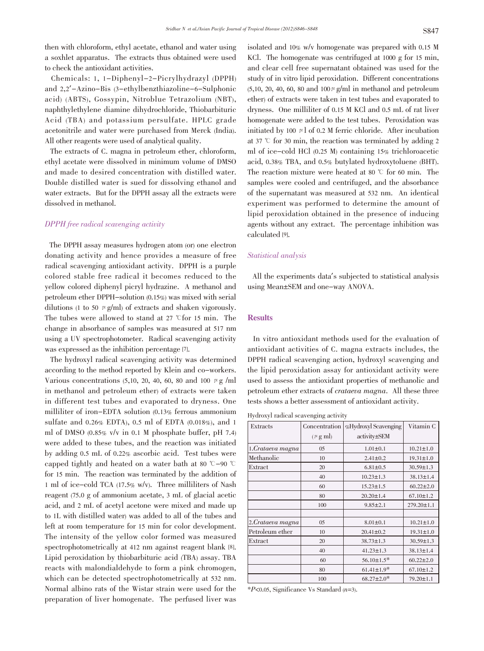then with chloroform, ethyl acetate, ethanol and water using a soxhlet apparatus. The extracts thus obtained were used to check the antioxidant activities.

Chemicals: 1, 1-Diphenyl-2-Picrylhydrazyl (DPPH) and 2,2'-Azino-Bis (3-ethylbenzthiazoline-6-Sulphonic acid) (ABTS), Gossypin, Nitroblue Tetrazolium (NBT), naphthylethylene diamine dihydrochloride, Thiobarbituric Acid (TBA) and potassium persulfate. HPLC grade acetonitrile and water were purchased from Merck (India). All other reagents were used of analytical quality.

The extracts of C. magna in petroleum ether, chloroform, ethyl acetate were dissolved in minimum volume of DMSO and made to desired concentration with distilled water. Double distilled water is sued for dissolving ethanol and water extracts. But for the DPPH assay all the extracts were dissolved in methanol.

## DPPH free radical scavenging activity

The DPPH assay measures hydrogen atom (or) one electron donating activity and hence provides a measure of free radical scavenging antioxidant activity. DPPH is a purple colored stable free radical it becomes reduced to the yellow colored diphenyl picryl hydrazine. A methanol and petroleum ether DPPH-solution (0.15%) was mixed with serial dilutions (1 to 50  $\mu$  g/ml) of extracts and shaken vigorously. The tubes were allowed to stand at 27 °C for 15 min. The change in absorbance of samples was measured at 517 nm using a UV spectrophotometer. Radical scavenging activity was expressed as the inhibition percentage [7].

The hydroxyl radical scavenging activity was determined according to the method reported by Klein and co-workers. Various concentrations  $(5,10, 20, 40, 60, 80 \text{ and } 100 \mu \text{ g/m}]$ in methanol and petroleum ether) of extracts were taken in different test tubes and evaporated to dryness. One milliliter of iron-EDTA solution (0.13% ferrous ammonium sulfate and 0.26% EDTA), 0.5 ml of EDTA (0.018%), and 1 ml of DMSO (0.85% v/v in 0.1 M phosphate buffer, pH 7.4) were added to these tubes, and the reaction was initiated by adding 0.5 mL of 0.22% ascorbic acid. Test tubes were capped tightly and heated on a water bath at 80  $^{\circ}$ C-90  $^{\circ}$ C for 15 min. The reaction was terminated by the addition of 1 ml of ice-cold TCA (17.5% w/v). Three milliliters of Nash reagent (75.0 g of ammonium acetate, 3 mL of glacial acetic acid, and 2 mL of acetyl acetone were mixed and made up to 1L with distilled water) was added to all of the tubes and left at room temperature for 15 min for color development. The intensity of the yellow color formed was measured spectrophotometrically at 412 nm against reagent blank [8]. Lipid peroxidation by thiobarbituric acid (TBA) assay. TBA reacts with malondialdehyde to form a pink chromogen, which can be detected spectrophotometrically at 532 nm. Normal albino rats of the Wistar strain were used for the preparation of liver homogenate. The perfused liver was

isolated and 10% w/v homogenate was prepared with 0.15 M KCl. The homogenate was centrifuged at 1000 g for 15 min, and clear cell free supernatant obtained was used for the study of in vitro lipid peroxidation. Different concentrations  $(5,10, 20, 40, 60, 80 \text{ and } 100 \mu \text{ g/ml}$  in methanol and petroleum ether) of extracts were taken in test tubes and evaporated to dryness. One milliliter of 0.15 M KCl and 0.5 mL of rat liver homogenate were added to the test tubes. Peroxidation was initiated by 100  $\mu$  of 0.2 M ferric chloride. After incubation at 37  $\degree$  for 30 min, the reaction was terminated by adding 2 ml of ice-cold HCl (0.25 M) containing 15% trichloroacetic acid, 0.38% TBA, and 0.5% butylated hydroxytoluene (BHT). The reaction mixture were heated at 80  $\degree$  for 60 min. The samples were cooled and centrifuged, and the absorbance of the supernatant was measured at 532 nm. An identical experiment was performed to determine the amount of lipid peroxidation obtained in the presence of inducing agents without any extract. The percentage inhibition was calculated [9].

# Statistical analysis

All the experiments data's subjected to statistical analysis using Mean±SEM and one-way ANOVA.

#### **Results**

In vitro antioxidant methods used for the evaluation of antioxidant activities of C. magna extracts includes, the DPPH radical scavenging action, hydroxyl scavenging and the lipid peroxidation assay for antioxidant activity were used to assess the antioxidant properties of methanolic and petroleum ether extracts of crataeva magna. All these three tests shows a better assessment of antioxidant activity.

Hydroxyl radical scavenging activity

| Extracts         | Concentration        | %Hydroxyl Scavenging | Vitamin C        |  |
|------------------|----------------------|----------------------|------------------|--|
|                  | $(\mu g \text{ ml})$ | activity±SEM         |                  |  |
| 1.Crataeva magna | 05                   | $1.01 \pm 0.1$       | $10.21 \pm 1.0$  |  |
| Methanolic       | 10                   | $2.41 \pm 0.2$       | $19.31 \pm 1.0$  |  |
| Extract          | 20                   | $6.81 \pm 0.5$       | $30.59 \pm 1.3$  |  |
|                  | 40                   | $10.23 \pm 1.3$      | $38.13 \pm 1.4$  |  |
|                  | 60                   | $15.23 \pm 1.5$      | $60.22 \pm 2.0$  |  |
|                  | 80                   | $20.20 \pm 1.4$      | $67.10 \pm 1.2$  |  |
|                  | 100                  | $9.85 \pm 2.1$       | $279.20 \pm 1.1$ |  |
|                  |                      |                      |                  |  |
| 2.Crataeva magna | 05                   | $8.01 \pm 0.1$       | $10.21 \pm 1.0$  |  |
| Petroleum ether  | 10                   | $20.41 \pm 0.2$      | $19.31 \pm 1.0$  |  |
| Extract          | 20                   | $38.73 \pm 1.3$      | $30.59 \pm 1.3$  |  |
|                  | 40                   | $41.23 \pm 1.3$      | $38.13 \pm 1.4$  |  |
|                  | 60                   | $56.10 \pm 1.5^*$    | $60.22 \pm 2.0$  |  |
|                  | 80                   | $61.41 \pm 1.9*$     | $67.10 \pm 1.2$  |  |
|                  | 100                  | $68.27 \pm 2.0^*$    | 79.20±1.1        |  |

 $*P<0.05$ , Significance Vs Standard (n=3).